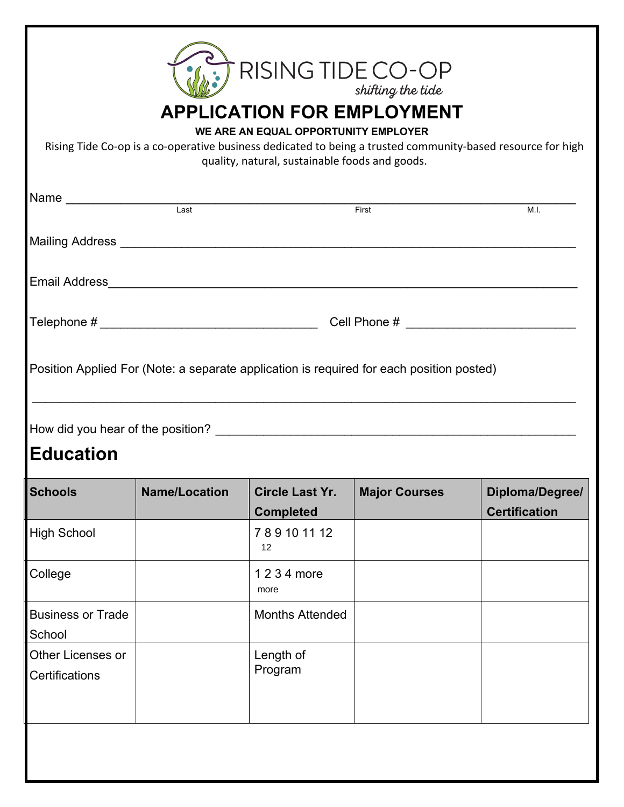|                                     |                      | <b>ANDE CO-OP</b>                                                                                                           | shifting the tide    |                                                                                                             |
|-------------------------------------|----------------------|-----------------------------------------------------------------------------------------------------------------------------|----------------------|-------------------------------------------------------------------------------------------------------------|
|                                     |                      | <b>APPLICATION FOR EMPLOYMENT</b><br>WE ARE AN EQUAL OPPORTUNITY EMPLOYER<br>quality, natural, sustainable foods and goods. |                      | Rising Tide Co-op is a co-operative business dedicated to being a trusted community-based resource for high |
|                                     |                      | Name                                                                                                                        | First                | M.I.                                                                                                        |
|                                     |                      |                                                                                                                             |                      |                                                                                                             |
|                                     |                      |                                                                                                                             |                      |                                                                                                             |
|                                     |                      |                                                                                                                             |                      |                                                                                                             |
|                                     |                      | Position Applied For (Note: a separate application is required for each position posted)                                    |                      |                                                                                                             |
| <b>Education</b>                    |                      |                                                                                                                             |                      |                                                                                                             |
| <b>Schools</b>                      | <b>Name/Location</b> | <b>Circle Last Yr.</b><br><b>Completed</b>                                                                                  | <b>Major Courses</b> | Diploma/Degree/<br><b>Certification</b>                                                                     |
| <b>High School</b>                  |                      | 789101112<br>12                                                                                                             |                      |                                                                                                             |
| College                             |                      | 1 2 3 4 more<br>more                                                                                                        |                      |                                                                                                             |
| <b>Business or Trade</b><br>School  |                      | <b>Months Attended</b>                                                                                                      |                      |                                                                                                             |
| Other Licenses or<br>Certifications |                      | Length of<br>Program                                                                                                        |                      |                                                                                                             |
|                                     |                      |                                                                                                                             |                      |                                                                                                             |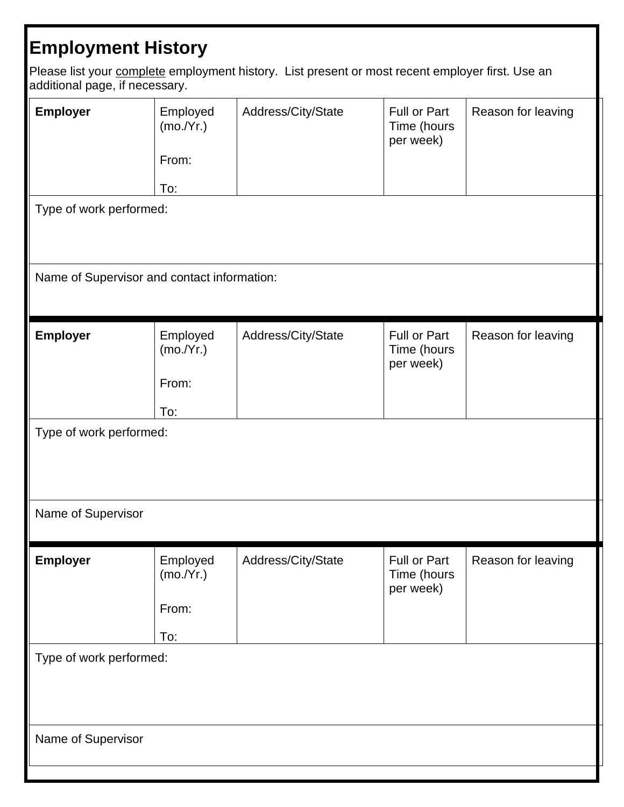## **Employment History**

Please list your **complete** employment history. List present or most recent employer first. Use an additional page, if necessary.

| Employer<br>Type of work performed:           | Employed<br>(mo./Yr.)<br>From:<br>To: | Address/City/State | <b>Full or Part</b><br>Time (hours<br>per week) | Reason for leaving |  |
|-----------------------------------------------|---------------------------------------|--------------------|-------------------------------------------------|--------------------|--|
| Name of Supervisor and contact information:   |                                       |                    |                                                 |                    |  |
| Employer                                      | Employed<br>(mo./Yr.)<br>From:<br>To: | Address/City/State | <b>Full or Part</b><br>Time (hours<br>per week) | Reason for leaving |  |
| Type of work performed:<br>Name of Supervisor |                                       |                    |                                                 |                    |  |
| <b>Employer</b>                               | Employed<br>(mo./Yr.)<br>From:<br>To: | Address/City/State | Full or Part<br>Time (hours<br>per week)        | Reason for leaving |  |
| Type of work performed:                       |                                       |                    |                                                 |                    |  |
| Name of Supervisor                            |                                       |                    |                                                 |                    |  |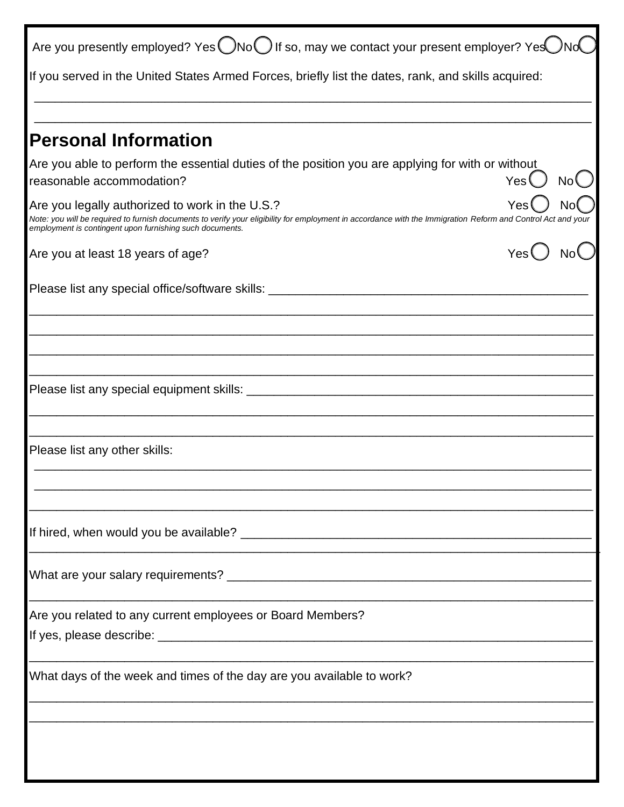| Are you presently employed? Yes $\bigcirc$ No $\bigcirc$ If so, may we contact your present employer? Yes                                                                                                                                                                   |  |
|-----------------------------------------------------------------------------------------------------------------------------------------------------------------------------------------------------------------------------------------------------------------------------|--|
| If you served in the United States Armed Forces, briefly list the dates, rank, and skills acquired:                                                                                                                                                                         |  |
|                                                                                                                                                                                                                                                                             |  |
| <b>Personal Information</b>                                                                                                                                                                                                                                                 |  |
| Are you able to perform the essential duties of the position you are applying for with or without<br>Yes (<br>reasonable accommodation?                                                                                                                                     |  |
| Are you legally authorized to work in the U.S.?<br>Note: you will be required to furnish documents to verify your eligibility for employment in accordance with the Immigration Reform and Control Act and your<br>employment is contingent upon furnishing such documents. |  |
| Are you at least 18 years of age?                                                                                                                                                                                                                                           |  |
| Please list any special office/software skills: _________________________________                                                                                                                                                                                           |  |
|                                                                                                                                                                                                                                                                             |  |
|                                                                                                                                                                                                                                                                             |  |
|                                                                                                                                                                                                                                                                             |  |
| Please list any other skills:                                                                                                                                                                                                                                               |  |
|                                                                                                                                                                                                                                                                             |  |
|                                                                                                                                                                                                                                                                             |  |
| Are you related to any current employees or Board Members?                                                                                                                                                                                                                  |  |
| What days of the week and times of the day are you available to work?                                                                                                                                                                                                       |  |
|                                                                                                                                                                                                                                                                             |  |
|                                                                                                                                                                                                                                                                             |  |